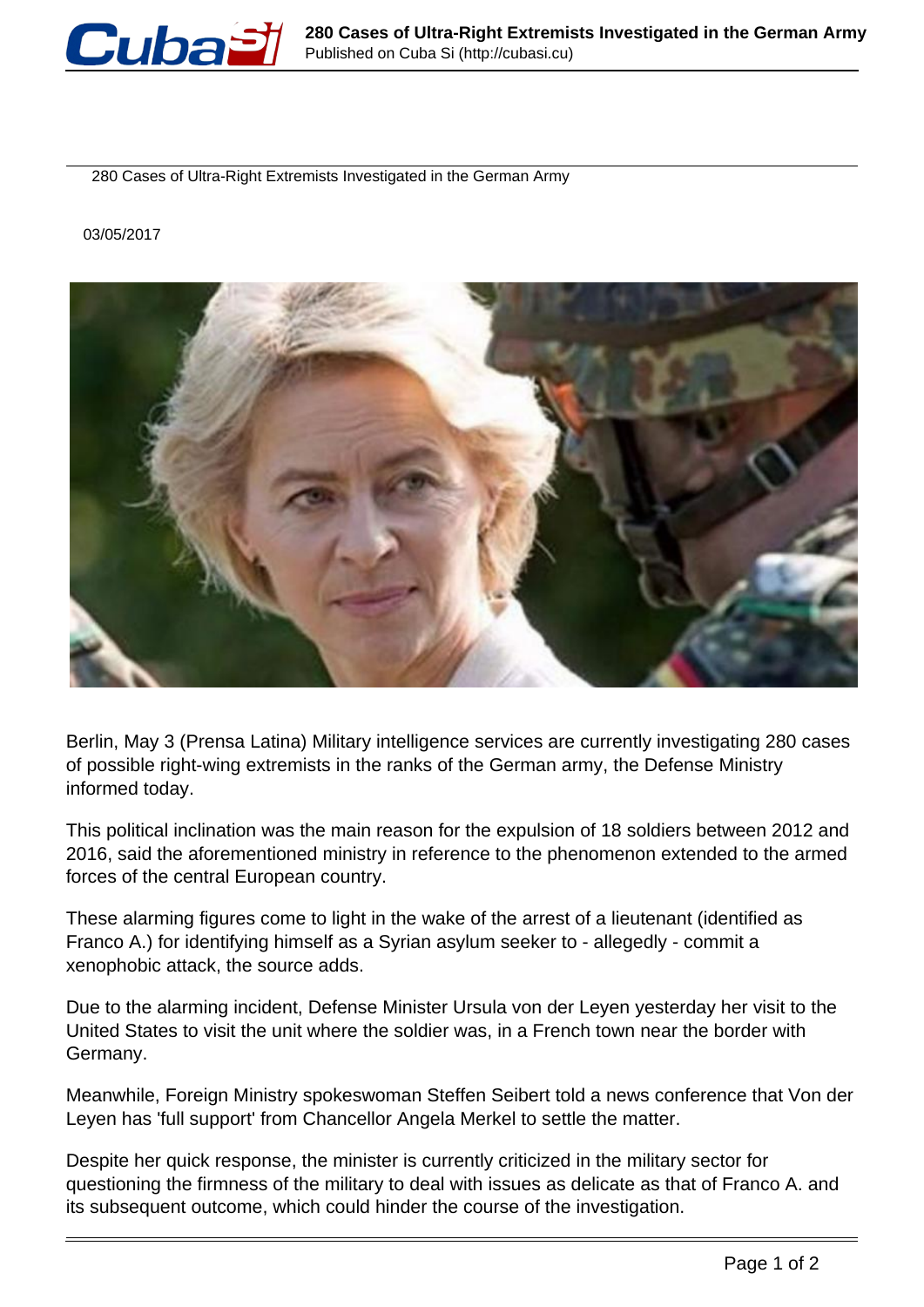

280 Cases of Ultra-Right Extremists Investigated in the German Army

03/05/2017



Berlin, May 3 (Prensa Latina) Military intelligence services are currently investigating 280 cases of possible right-wing extremists in the ranks of the German army, the Defense Ministry informed today.

This political inclination was the main reason for the expulsion of 18 soldiers between 2012 and 2016, said the aforementioned ministry in reference to the phenomenon extended to the armed forces of the central European country.

These alarming figures come to light in the wake of the arrest of a lieutenant (identified as Franco A.) for identifying himself as a Syrian asylum seeker to - allegedly - commit a xenophobic attack, the source adds.

Due to the alarming incident, Defense Minister Ursula von der Leyen yesterday her visit to the United States to visit the unit where the soldier was, in a French town near the border with Germany.

Meanwhile, Foreign Ministry spokeswoman Steffen Seibert told a news conference that Von der Leyen has 'full support' from Chancellor Angela Merkel to settle the matter.

Despite her quick response, the minister is currently criticized in the military sector for questioning the firmness of the military to deal with issues as delicate as that of Franco A. and its subsequent outcome, which could hinder the course of the investigation.